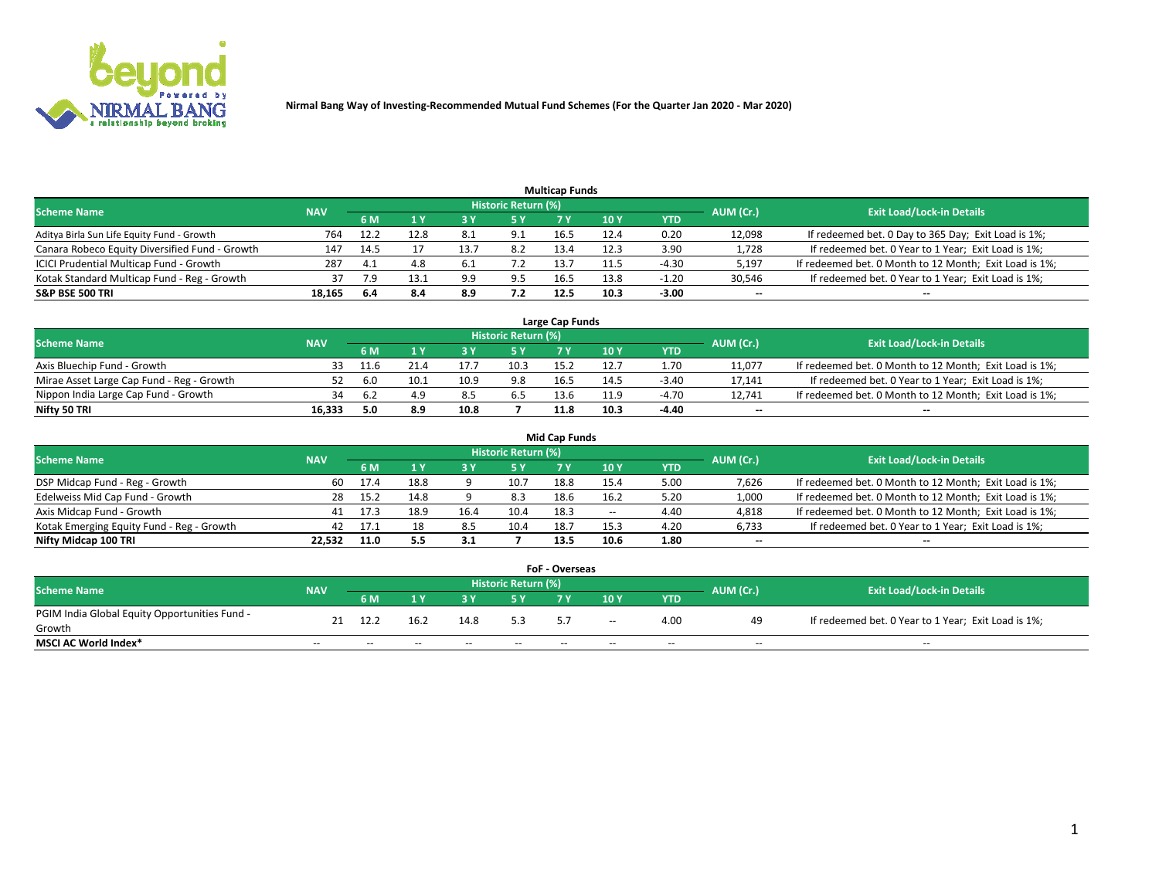

| <b>Multicap Funds</b>                          |            |      |      |      |                     |      |                 |         |                          |                                                        |  |  |  |  |
|------------------------------------------------|------------|------|------|------|---------------------|------|-----------------|---------|--------------------------|--------------------------------------------------------|--|--|--|--|
| Scheme Name                                    | <b>NAV</b> |      |      |      | Historic Return (%) |      |                 |         | AUM (Cr.)                | <b>Exit Load/Lock-in Details</b>                       |  |  |  |  |
|                                                |            | 6 M  | 4 Y  |      | 5 Y                 |      | 10 <sub>Y</sub> | YTD     |                          |                                                        |  |  |  |  |
| Aditya Birla Sun Life Equity Fund - Growth     | 764        | 12.2 | 12.8 | 8.1  | 9.1                 | 16.5 | 12.4            | 0.20    | 12,098                   | If redeemed bet. 0 Day to 365 Day; Exit Load is 1%;    |  |  |  |  |
| Canara Robeco Equity Diversified Fund - Growth | 147        | 14.5 |      | 13.7 | 8.2                 | 13.4 | 12.3            | 3.90    | 1,728                    | If redeemed bet. 0 Year to 1 Year; Exit Load is 1%;    |  |  |  |  |
| ICICI Prudential Multicap Fund - Growth        | 287        | 4.1  | 4.8  | 6.1  |                     | 13.7 |                 | $-4.30$ | 5,197                    | If redeemed bet. 0 Month to 12 Month; Exit Load is 1%; |  |  |  |  |
| Kotak Standard Multicap Fund - Reg - Growth    | 37         | 7.9  | 13.1 | 9.9  | 9.5                 | 16.5 | 13.8            | $-1.20$ | 30,546                   | If redeemed bet. 0 Year to 1 Year; Exit Load is 1%;    |  |  |  |  |
| <b>S&amp;P BSE 500 TRI</b>                     | 18.165     | -6.4 | 8.4  | 8.9  | 7.2                 | 12.5 | 10.3            | $-3.00$ | $\overline{\phantom{a}}$ | $-$                                                    |  |  |  |  |

| Large Cap Funds                           |            |           |                                  |      |      |      |      |         |        |                                                        |  |  |  |  |
|-------------------------------------------|------------|-----------|----------------------------------|------|------|------|------|---------|--------|--------------------------------------------------------|--|--|--|--|
| Scheme Name                               | <b>NAV</b> | AUM (Cr.) | <b>Exit Load/Lock-in Details</b> |      |      |      |      |         |        |                                                        |  |  |  |  |
|                                           |            | 6 M       |                                  |      | 5 Y  |      | 10Y  | YTD     |        |                                                        |  |  |  |  |
| Axis Bluechip Fund - Growth               |            | 11.6      |                                  |      | 10.3 | 15.2 |      | 1.70    | 11,077 | If redeemed bet. 0 Month to 12 Month; Exit Load is 1%; |  |  |  |  |
| Mirae Asset Large Cap Fund - Reg - Growth | 52         |           |                                  | 10.9 | 9.8  | 16.5 | 14.5 | $-3.40$ | 17,141 | If redeemed bet. 0 Year to 1 Year; Exit Load is 1%;    |  |  |  |  |
| Nippon India Large Cap Fund - Growth      |            |           |                                  |      | 6.5  | 13.6 | 11.9 | $-4.70$ | 12,741 | If redeemed bet. 0 Month to 12 Month; Exit Load is 1%; |  |  |  |  |
| Nifty 50 TRI                              | 16.333     | 0.د       | 8.9                              | 10.8 |      | 11.8 | 10.3 | $-4.40$ | $\sim$ | $\sim$                                                 |  |  |  |  |

|                                           |            |        |      |      |                     | <b>Mid Cap Funds</b> |        |            |           |                                                        |
|-------------------------------------------|------------|--------|------|------|---------------------|----------------------|--------|------------|-----------|--------------------------------------------------------|
| <b>Scheme Name</b>                        | <b>NAV</b> |        |      |      | Historic Return (%) |                      |        |            | AUM (Cr.) | <b>Exit Load/Lock-in Details</b>                       |
|                                           |            | 6 M    |      |      |                     |                      | 10Y    | <b>YTD</b> |           |                                                        |
| DSP Midcap Fund - Reg - Growth            | 60         | 17.4   | 18.8 |      | 10.7                | 18.8                 | 15.4   | 5.00       | 7,626     | If redeemed bet. 0 Month to 12 Month; Exit Load is 1%; |
| Edelweiss Mid Cap Fund - Growth           | 28         | - 15.2 | 14.8 |      | 8.3                 | 18.6                 | 16.2   | 5.20       | 1,000     | If redeemed bet. 0 Month to 12 Month; Exit Load is 1%; |
| Axis Midcap Fund - Growth                 | 41         | 17.3   | 18.9 | 16.4 | 10.4                | 18.3                 | $\sim$ | 4.40       | 4,818     | If redeemed bet. 0 Month to 12 Month; Exit Load is 1%; |
| Kotak Emerging Equity Fund - Reg - Growth | 42         | 17.1   | 18   | 8.5  | 10.4                | 18.7                 | 15.3   | 4.20       | 6,733     | If redeemed bet. 0 Year to 1 Year; Exit Load is 1%;    |
| Nifty Midcap 100 TRI                      | 22.532     | 11.0   | 5.5  | -3.1 |                     | 13.5                 | 10.6   | 1.80       | $\sim$    |                                                        |

| <b>FoF - Overseas</b>                         |            |                                                                             |       |       |       |    |        |            |       |                                                     |  |  |  |  |
|-----------------------------------------------|------------|-----------------------------------------------------------------------------|-------|-------|-------|----|--------|------------|-------|-----------------------------------------------------|--|--|--|--|
| <b>Scheme Name</b>                            | <b>NAV</b> | <b>Historic Return (%)</b><br>AUM (Cr.)<br><b>Exit Load/Lock-in Details</b> |       |       |       |    |        |            |       |                                                     |  |  |  |  |
|                                               |            | 6 M                                                                         |       |       |       |    | 10Y    | <b>YTD</b> |       |                                                     |  |  |  |  |
| PGIM India Global Equity Opportunities Fund - | 21         | 12.2                                                                        | 16.2  | 14.8  | 53    | 57 | $\sim$ | 4.00       | 49    | If redeemed bet. 0 Year to 1 Year; Exit Load is 1%; |  |  |  |  |
| Growth                                        |            |                                                                             |       |       |       |    |        |            |       |                                                     |  |  |  |  |
| <b>MSCI AC World Index*</b>                   | $- -$      | $- -$                                                                       | $- -$ | $- -$ | $- -$ | -- | $- -$  | $- -$      | $- -$ | $- -$                                               |  |  |  |  |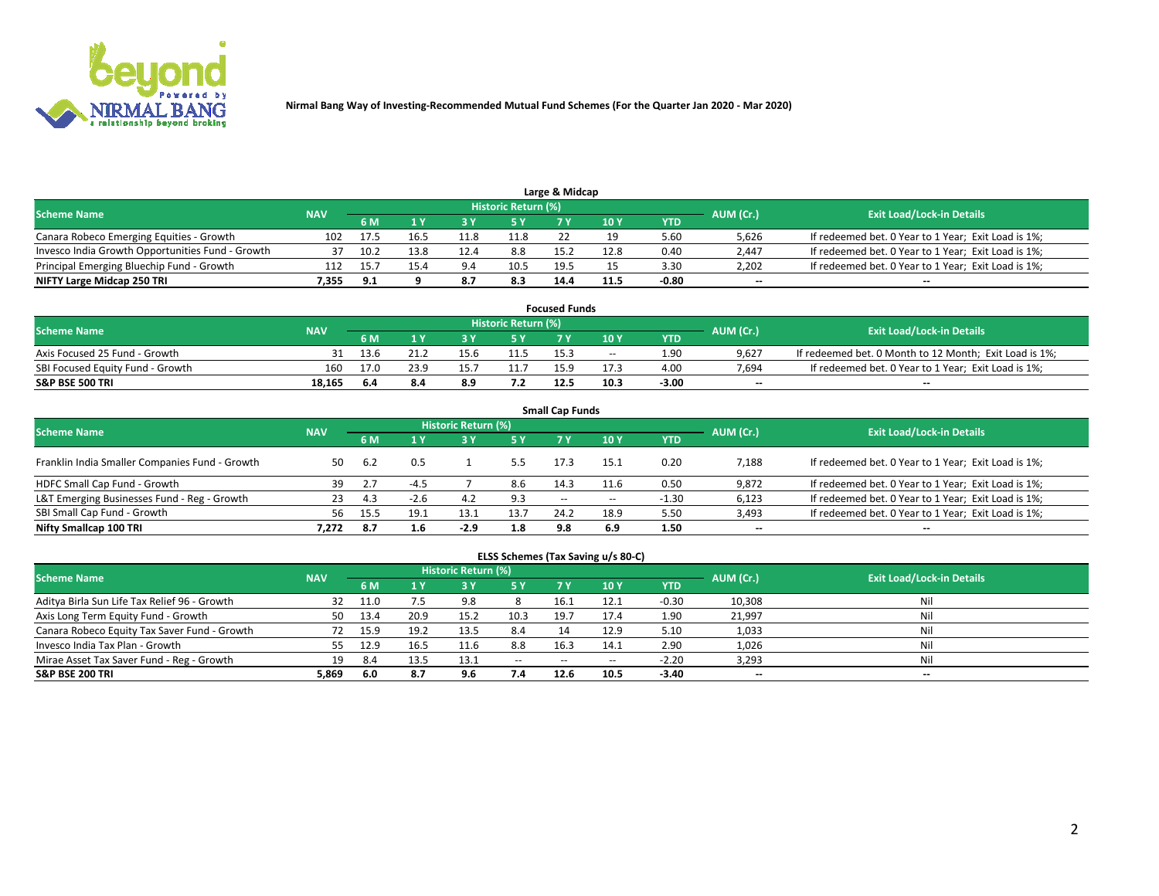

| Large & Midcap                                   |            |      |      |      |                     |      |      |         |           |                                                     |  |  |  |  |
|--------------------------------------------------|------------|------|------|------|---------------------|------|------|---------|-----------|-----------------------------------------------------|--|--|--|--|
| <b>Scheme Name</b>                               | <b>NAV</b> |      |      |      | Historic Return (%) |      |      |         | AUM (Cr.) | <b>Exit Load/Lock-in Details</b>                    |  |  |  |  |
|                                                  |            | 6 M  |      |      | 5 Y                 |      | 10Y  | YTD     |           |                                                     |  |  |  |  |
| Canara Robeco Emerging Equities - Growth         | 102        | 17.5 | Lb   | 11.8 | 11.8                |      |      | 5.60    | 5.626     | If redeemed bet. 0 Year to 1 Year; Exit Load is 1%; |  |  |  |  |
| Invesco India Growth Opportunities Fund - Growth |            |      | 13.8 | 12.4 | 8.8                 | 15.2 | 12.8 | 0.40    | 2,447     | If redeemed bet. 0 Year to 1 Year; Exit Load is 1%; |  |  |  |  |
| Principal Emerging Bluechip Fund - Growth        | 112        | 15   | 15.4 | Q    | 10.5                | 19.5 |      | 3.30    | 2,202     | If redeemed bet. 0 Year to 1 Year; Exit Load is 1%; |  |  |  |  |
| NIFTY Large Midcap 250 TRI                       | /.355      | 9.1  |      | 8.7  | 8.3                 | 14.4 | 11.5 | $-0.80$ | $\sim$    | $-$                                                 |  |  |  |  |

| <b>Focused Funds</b>             |            |            |      |      |                     |      |       |         |           |                                                        |  |  |  |
|----------------------------------|------------|------------|------|------|---------------------|------|-------|---------|-----------|--------------------------------------------------------|--|--|--|
| <b>Scheme Name</b>               | <b>NAV</b> |            |      |      | Historic Return (%) |      |       |         |           | <b>Exit Load/Lock-in Details</b>                       |  |  |  |
|                                  |            | <b>6 M</b> |      |      |                     |      | 10 Y  | YTD     | AUM (Cr.) |                                                        |  |  |  |
| Axis Focused 25 Fund - Growth    |            | 13.6       |      | 15.6 | 11.5                | 15.3 | $- -$ | 1.90    | 9.627     | If redeemed bet. 0 Month to 12 Month; Exit Load is 1%; |  |  |  |
| SBI Focused Equity Fund - Growth | 160        | 17.0       | 23.9 |      |                     | 15.9 | 17.5  | 4.00    | 7.694     | If redeemed bet. 0 Year to 1 Year; Exit Load is 1%;    |  |  |  |
| <b>S&amp;P BSE 500 TRI</b>       | 18.165     | -6.4       | 8.4  | 8.9  |                     | 12.5 | 10.3  | $-3.00$ | $\sim$    | $- -$                                                  |  |  |  |

| <b>Small Cap Funds</b>                         |            |       |        |                     |      |            |                 |            |                          |                                                     |  |  |  |  |
|------------------------------------------------|------------|-------|--------|---------------------|------|------------|-----------------|------------|--------------------------|-----------------------------------------------------|--|--|--|--|
| <b>Scheme Name</b>                             | <b>NAV</b> |       |        | Historic Return (%) |      |            |                 |            |                          | <b>Exit Load/Lock-in Details</b>                    |  |  |  |  |
|                                                |            | 6 M   |        |                     | 5 Y  | <b>7 Y</b> | 10 <sub>Y</sub> | <b>YTD</b> | AUM (Cr.)                |                                                     |  |  |  |  |
| Franklin India Smaller Companies Fund - Growth | 50         | 6.2   | 0.5    |                     |      | 17.3       | 15.1            | 0.20       | 7,188                    | If redeemed bet. 0 Year to 1 Year; Exit Load is 1%; |  |  |  |  |
| HDFC Small Cap Fund - Growth                   | 39         |       | $-4.5$ |                     | 8.6  | 14.3       | 11.6            | 0.50       | 9,872                    | If redeemed bet. 0 Year to 1 Year; Exit Load is 1%; |  |  |  |  |
| L&T Emerging Businesses Fund - Reg - Growth    | 23         | 4.3   | $-2.6$ | 4.2                 | 9.3  | $\sim$     | $- -$           | $-1.30$    | 6,123                    | If redeemed bet. 0 Year to 1 Year; Exit Load is 1%; |  |  |  |  |
| SBI Small Cap Fund - Growth                    | 56.        | 15.5  | 19.1   | 13.1                | 13.7 | 24.2       | 18.9            | 5.50       | 3,493                    | If redeemed bet. 0 Year to 1 Year; Exit Load is 1%; |  |  |  |  |
| Nifty Smallcap 100 TRI                         | 7.272      | - 8.7 | 1.6    | $-2.9$              | 1.8  | 9.8        | 6.9             | 1.50       | $\overline{\phantom{a}}$ | $\overline{\phantom{a}}$                            |  |  |  |  |

## **ELSS Schemes (Tax Saving u/s 80-C)**

| <b>Scheme Name</b>                           | <b>NAV</b> |      |      | <b>Historic Return (%)</b> |           |                          |        |         | AUM (Cr.) | <b>Exit Load/Lock-in Details</b> |
|----------------------------------------------|------------|------|------|----------------------------|-----------|--------------------------|--------|---------|-----------|----------------------------------|
|                                              |            | 6 M  | 4 Y  | <b>3 Y</b>                 | <b>5Y</b> | 7 Y                      | $-10V$ | YTD     |           |                                  |
| Aditya Birla Sun Life Tax Relief 96 - Growth | 32         | 11.0 |      | 9.8                        |           | 16.1                     | 12.1   | $-0.30$ | 10,308    | Nil                              |
| Axis Long Term Equity Fund - Growth          | 50         | 13.4 | 20.9 | 15.2                       | 10.3      | 19.7                     | 17.4   | 1.90    | 21,997    | Nil                              |
| Canara Robeco Equity Tax Saver Fund - Growth |            |      | 19.2 | 13.5                       | 8.4       |                          | 12.9   | 5.10    | 1,033     | Nil                              |
| Invesco India Tax Plan - Growth              | 55         | 12.9 | 16.5 | 11.6                       | 8.8       | 16.3                     | 14.1   | 2.90    | 1,026     | Nil                              |
| Mirae Asset Tax Saver Fund - Reg - Growth    | 19         | -8.4 | 13.5 | 13.1                       | $\sim$    | $\overline{\phantom{a}}$ | --     | $-2.20$ | 3,293     | Nil                              |
| S&P BSE 200 TRI                              | 5,869      | 6.0  |      | 9.6                        | 7.4       | 12.6                     | 10.5   | $-3.40$ | $\sim$    | $- -$                            |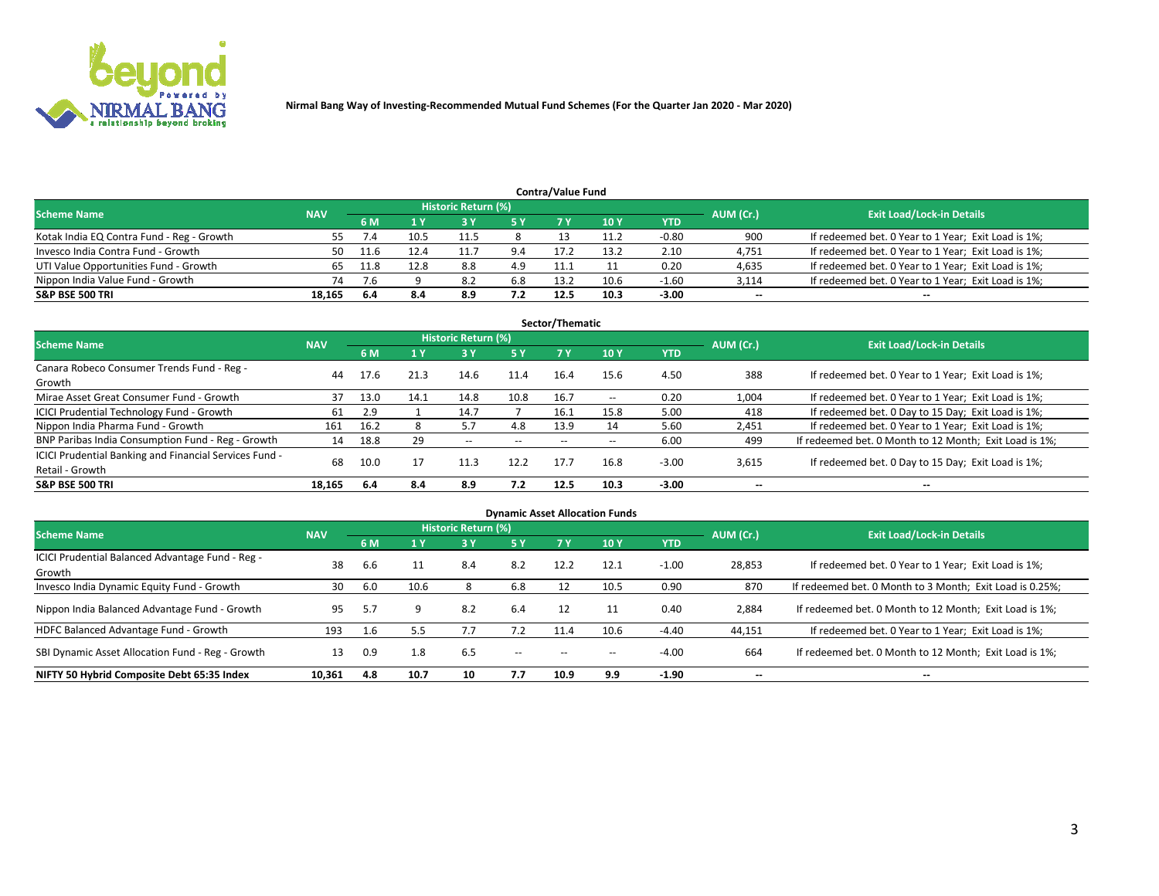

| <b>Contra/Value Fund</b>                                                                                        |        |      |      |      |     |      |      |            |        |                                                     |  |  |  |  |
|-----------------------------------------------------------------------------------------------------------------|--------|------|------|------|-----|------|------|------------|--------|-----------------------------------------------------|--|--|--|--|
| <b>Historic Return (%)</b><br><b>Exit Load/Lock-in Details</b><br>AUM (Cr.)<br><b>Scheme Name</b><br><b>NAV</b> |        |      |      |      |     |      |      |            |        |                                                     |  |  |  |  |
|                                                                                                                 |        | 6 M  |      |      | 5 Y |      | 10Y  | <b>YTD</b> |        |                                                     |  |  |  |  |
| Kotak India EQ Contra Fund - Reg - Growth                                                                       | לל     |      | 10.5 | 11.5 |     |      | 11.2 | $-0.80$    | 900    | If redeemed bet. 0 Year to 1 Year; Exit Load is 1%; |  |  |  |  |
| Invesco India Contra Fund - Growth                                                                              | 50     |      |      |      | 9.4 | 17.2 | 13.2 | 2.10       | 4,751  | If redeemed bet. 0 Year to 1 Year; Exit Load is 1%; |  |  |  |  |
| UTI Value Opportunities Fund - Growth                                                                           |        | 11.8 | 12.8 | 8.8  | 4.9 |      |      | 0.20       | 4,635  | If redeemed bet. 0 Year to 1 Year; Exit Load is 1%; |  |  |  |  |
| Nippon India Value Fund - Growth                                                                                | 74     | 7.6  |      | -8.2 | 6.8 | 13.2 | 10.6 | $-1.60$    | 3,114  | If redeemed bet. 0 Year to 1 Year; Exit Load is 1%; |  |  |  |  |
| <b>S&amp;P BSE 500 TRI</b>                                                                                      | 18.165 | -6.4 | 8.4  | 8.9  | 7.2 | 12.5 | 10.3 | $-3.00$    | $\sim$ | $- -$                                               |  |  |  |  |

| Sector/Thematic                                                           |            |      |      |                     |           |       |                          |            |                          |                                                        |  |  |  |  |
|---------------------------------------------------------------------------|------------|------|------|---------------------|-----------|-------|--------------------------|------------|--------------------------|--------------------------------------------------------|--|--|--|--|
| <b>Scheme Name</b>                                                        | <b>NAV</b> |      |      | Historic Return (%) |           |       |                          |            | AUM (Cr.)                | <b>Exit Load/Lock-in Details</b>                       |  |  |  |  |
|                                                                           |            | 6 M  | 1 Y  | 73 Y                | <b>5Y</b> | 7 Y   | 10Y                      | <b>YTD</b> |                          |                                                        |  |  |  |  |
| Canara Robeco Consumer Trends Fund - Reg -<br>Growth                      | 44         | 17.6 | 21.3 | 14.6                | 11.4      | 16.4  | 15.6                     | 4.50       | 388                      | If redeemed bet. 0 Year to 1 Year; Exit Load is 1%;    |  |  |  |  |
| Mirae Asset Great Consumer Fund - Growth                                  | 37         | 13.0 | 14.1 | 14.8                | 10.8      | 16.7  | $\overline{\phantom{a}}$ | 0.20       | 1,004                    | If redeemed bet. 0 Year to 1 Year; Exit Load is 1%;    |  |  |  |  |
| ICICI Prudential Technology Fund - Growth                                 | 61         | 2.9  |      | 14.7                |           | 16.1  | 15.8                     | 5.00       | 418                      | If redeemed bet. 0 Day to 15 Day; Exit Load is 1%;     |  |  |  |  |
| Nippon India Pharma Fund - Growth                                         | 161        | 16.2 |      | 5.7                 | 4.8       | 13.9  | 14                       | 5.60       | 2,451                    | If redeemed bet. 0 Year to 1 Year; Exit Load is 1%;    |  |  |  |  |
| BNP Paribas India Consumption Fund - Reg - Growth                         | 14         | 18.8 | 29   | $\sim$              | $- -$     | $- -$ | $- -$                    | 6.00       | 499                      | If redeemed bet. 0 Month to 12 Month; Exit Load is 1%; |  |  |  |  |
| ICICI Prudential Banking and Financial Services Fund -<br>Retail - Growth | 68         | 10.0 |      | 11.3                | 12.2      | 17.7  | 16.8                     | $-3.00$    | 3,615                    | If redeemed bet. 0 Day to 15 Day; Exit Load is 1%;     |  |  |  |  |
| <b>S&amp;P BSE 500 TRI</b>                                                | 18.165     | 6.4  | 8.4  | 8.9                 | 7.2       | 12.5  | 10.3                     | $-3.00$    | $\overline{\phantom{a}}$ | $\overline{\phantom{a}}$                               |  |  |  |  |

| <b>Dynamic Asset Allocation Funds</b>                      |            |     |      |                     |                          |       |       |            |           |                                                          |  |  |  |  |
|------------------------------------------------------------|------------|-----|------|---------------------|--------------------------|-------|-------|------------|-----------|----------------------------------------------------------|--|--|--|--|
| <b>Scheme Name</b>                                         | <b>NAV</b> |     |      | Historic Return (%) |                          |       |       |            | AUM (Cr.) | <b>Exit Load/Lock-in Details</b>                         |  |  |  |  |
|                                                            |            | 6 M | 1 Y  | 73 Y                | 5 Y                      | 7 Y   | 10Y   | <b>YTD</b> |           |                                                          |  |  |  |  |
| ICICI Prudential Balanced Advantage Fund - Reg -<br>Growth | 38         | 6.6 |      | 8.4                 | 8.2                      | 12.2  | 12.1  | $-1.00$    | 28,853    | If redeemed bet. 0 Year to 1 Year; Exit Load is 1%;      |  |  |  |  |
| Invesco India Dynamic Equity Fund - Growth                 | 30         | 6.0 | 10.6 |                     | 6.8                      | 12    | 10.5  | 0.90       | 870       | If redeemed bet. 0 Month to 3 Month; Exit Load is 0.25%; |  |  |  |  |
| Nippon India Balanced Advantage Fund - Growth              | 95         | 5.7 |      | 8.2                 | 6.4                      | 12    |       | 0.40       | 2,884     | If redeemed bet. 0 Month to 12 Month; Exit Load is 1%;   |  |  |  |  |
| HDFC Balanced Advantage Fund - Growth                      | 193        | 1.6 | 5.5  | 7.7                 | 7.2                      | 11.4  | 10.6  | $-4.40$    | 44,151    | If redeemed bet. 0 Year to 1 Year; Exit Load is 1%;      |  |  |  |  |
| SBI Dynamic Asset Allocation Fund - Reg - Growth           | 13         | 0.9 | 1.8  | 6.5                 | $\overline{\phantom{a}}$ | $- -$ | $- -$ | $-4.00$    | 664       | If redeemed bet. 0 Month to 12 Month; Exit Load is 1%;   |  |  |  |  |
| NIFTY 50 Hybrid Composite Debt 65:35 Index                 | 10,361     | 4.8 | 10.7 | 10                  | 7.7                      | 10.9  | 9.9   | $-1.90$    | $\sim$    | --                                                       |  |  |  |  |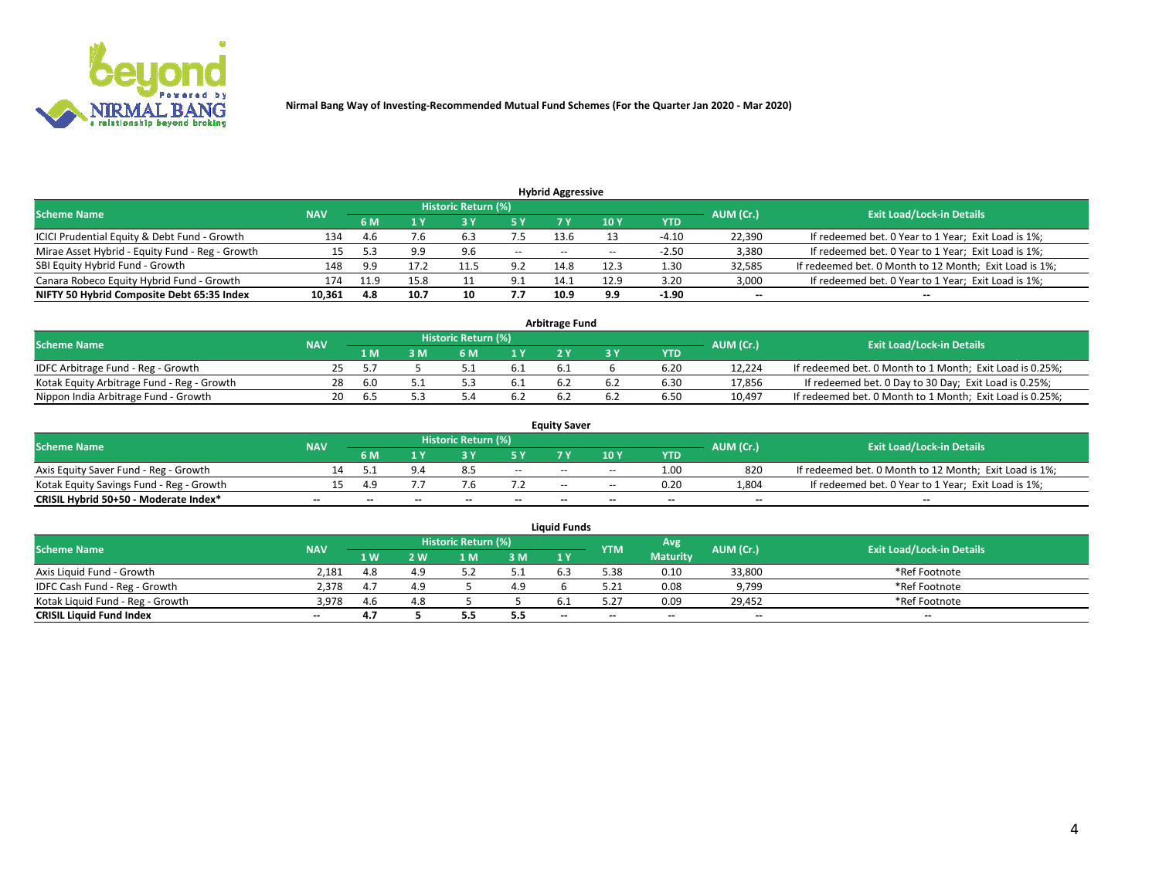

| <b>Hybrid Aggressive</b>                        |            |      |           |                                  |            |       |                 |         |                          |                                                        |  |  |  |  |
|-------------------------------------------------|------------|------|-----------|----------------------------------|------------|-------|-----------------|---------|--------------------------|--------------------------------------------------------|--|--|--|--|
| <b>Scheme Name</b>                              | <b>NAV</b> |      | AUM (Cr.) | <b>Exit Load/Lock-in Details</b> |            |       |                 |         |                          |                                                        |  |  |  |  |
|                                                 |            | 6 M  |           |                                  | 5 Y        | 7 Y   | 10 <sub>Y</sub> | YTD     |                          |                                                        |  |  |  |  |
| ICICI Prudential Equity & Debt Fund - Growth    | 134        | 4.6  | 7.6       | 6.3                              | 7.5        | 13.6  |                 | $-4.10$ | 22,390                   | If redeemed bet. 0 Year to 1 Year; Exit Load is 1%;    |  |  |  |  |
| Mirae Asset Hybrid - Equity Fund - Reg - Growth |            | 52   | 9.9       | 9.6                              | $- -$      | $- -$ |                 | $-2.50$ | 3,380                    | If redeemed bet. 0 Year to 1 Year; Exit Load is 1%;    |  |  |  |  |
| SBI Equity Hybrid Fund - Growth                 | 148        | 9.9  |           | 11.5                             | 9.2        | 14.8  | 12.3            | 1.30    | 32,585                   | If redeemed bet. 0 Month to 12 Month; Exit Load is 1%; |  |  |  |  |
| Canara Robeco Equity Hybrid Fund - Growth       | 174        | 11.9 | 15.8      |                                  | ، ۹<br>J.L | 14.1  | 12.9            | 3.20    | 3,000                    | If redeemed bet. 0 Year to 1 Year; Exit Load is 1%;    |  |  |  |  |
| NIFTY 50 Hybrid Composite Debt 65:35 Index      | 10,361     | 4.8  | 10.7      | 10                               | 7.7        | 10.9  | 9.9             | $-1.90$ | $\overline{\phantom{a}}$ | $- -$                                                  |  |  |  |  |

| <b>Arbitrage Fund</b>                      |    |                                                |     |     |     |  |  |                                  |        |                                                          |  |  |  |  |
|--------------------------------------------|----|------------------------------------------------|-----|-----|-----|--|--|----------------------------------|--------|----------------------------------------------------------|--|--|--|--|
| Scheme Name                                |    | Historic Return (%)<br>AUM (Cr.)<br><b>NAV</b> |     |     |     |  |  | <b>Exit Load/Lock-in Details</b> |        |                                                          |  |  |  |  |
|                                            |    | 1 M'                                           | : M | 6 M |     |  |  | YTD                              |        |                                                          |  |  |  |  |
| IDFC Arbitrage Fund - Reg - Growth         | 25 |                                                |     |     | 0.1 |  |  | 6.20                             | 12.224 | If redeemed bet. 0 Month to 1 Month; Exit Load is 0.25%; |  |  |  |  |
| Kotak Equity Arbitrage Fund - Reg - Growth | 28 | 6.0                                            |     |     | 0.1 |  |  | 6.3C                             | 17.856 | If redeemed bet. 0 Day to 30 Day; Exit Load is 0.25%;    |  |  |  |  |
| Nippon India Arbitrage Fund - Growth       | 20 | h <sub>1</sub>                                 |     |     | 0.2 |  |  | 6.50                             | 10.497 | If redeemed bet. 0 Month to 1 Month; Exit Load is 0.25%; |  |  |  |  |

|                                          |            |     |     |                            |                          | <b>Equity Saver</b> |        |            |                          |                                                        |
|------------------------------------------|------------|-----|-----|----------------------------|--------------------------|---------------------|--------|------------|--------------------------|--------------------------------------------------------|
| Scheme Name                              | <b>NAV</b> |     |     | <b>Historic Return (%)</b> |                          |                     |        |            | AUM (Cr.)                | <b>Exit Load/Lock-in Details</b>                       |
|                                          |            | 6 M |     |                            |                          |                     | 10 Y   | <b>YTD</b> |                          |                                                        |
| Axis Equity Saver Fund - Reg - Growth    |            |     |     |                            | $\sim$                   | $- -$               | $\sim$ | 1.00       | 820                      | If redeemed bet. 0 Month to 12 Month; Exit Load is 1%; |
| Kotak Equity Savings Fund - Reg - Growth |            | 4.9 |     |                            |                          | $\sim$ $\sim$       | $- -$  | 0.20       | 1,804                    | If redeemed bet. 0 Year to 1 Year; Exit Load is 1%;    |
| CRISIL Hybrid 50+50 - Moderate Index*    |            | --  | $-$ | $\overline{\phantom{a}}$   | $\overline{\phantom{a}}$ | $\sim$              | --     | $- -$      | $\overline{\phantom{a}}$ | $-$                                                    |

| <b>Liquid Funds</b>              |            |      |     |                            |     |                          |            |                 |           |                                  |  |  |  |  |
|----------------------------------|------------|------|-----|----------------------------|-----|--------------------------|------------|-----------------|-----------|----------------------------------|--|--|--|--|
| Scheme Name                      | <b>NAV</b> |      |     | <b>Historic Return (%)</b> |     |                          | <b>YTM</b> | Avg             | AUM (Cr.) | <b>Exit Load/Lock-in Details</b> |  |  |  |  |
|                                  |            | 1 W. | 2 W | 1 M                        | 3M  | 71 Y                     |            | <b>Maturity</b> |           |                                  |  |  |  |  |
| Axis Liquid Fund - Growth        | 2,181      |      |     |                            | ـ . |                          | 5.38       | 0.10            | 33,800    | *Ref Footnote                    |  |  |  |  |
| IDFC Cash Fund - Reg - Growth    | 2.378      |      |     |                            | 4.9 |                          |            | 0.08            | 9,799     | *Ref Footnote                    |  |  |  |  |
| Kotak Liquid Fund - Reg - Growth | 3,978      | 4.6  |     |                            |     |                          |            | 0.09            | 29,452    | *Ref Footnote                    |  |  |  |  |
| <b>CRISIL Liquid Fund Index</b>  | $\sim$     | 4.7  |     |                            | 5.5 | $\overline{\phantom{a}}$ | $-$        | $- -$           | $\sim$    | $\sim$                           |  |  |  |  |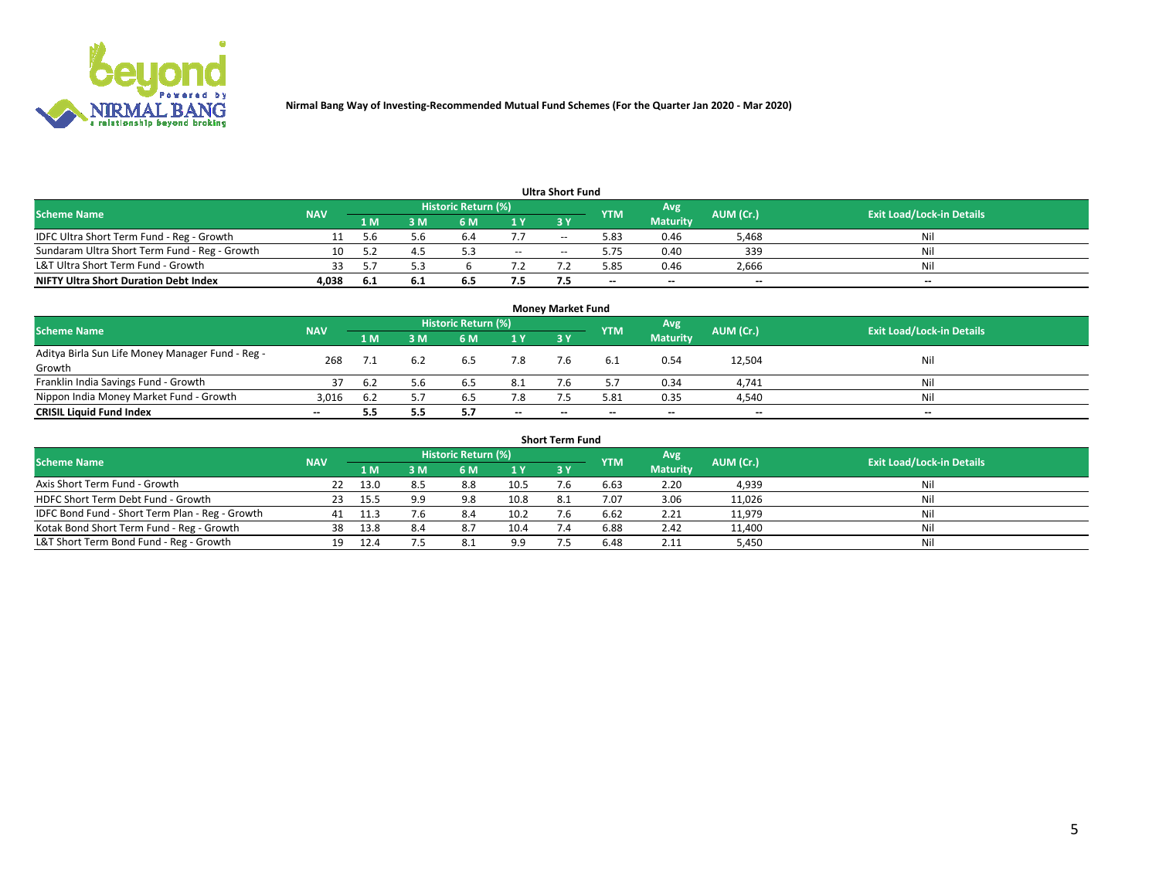

| <b>Ultra Short Fund</b>                       |            |      |     |                            |        |            |            |                 |           |                                  |  |  |  |  |
|-----------------------------------------------|------------|------|-----|----------------------------|--------|------------|------------|-----------------|-----------|----------------------------------|--|--|--|--|
| <b>Scheme Name</b>                            | <b>NAV</b> |      |     | <b>Historic Return (%)</b> |        |            | <b>YTM</b> | Avg             | AUM (Cr.) | <b>Exit Load/Lock-in Details</b> |  |  |  |  |
|                                               |            | 1 M  | 3 M | 6 M                        | 1 Y    | <b>3 Y</b> |            | <b>Maturity</b> |           |                                  |  |  |  |  |
| IDFC Ultra Short Term Fund - Reg - Growth     |            | .5.b | 5.6 | b.4                        |        | --         | 5.83       | 0.46            | 5,468     | Nil                              |  |  |  |  |
| Sundaram Ultra Short Term Fund - Reg - Growth |            |      |     |                            | $\sim$ | $-$        | 5.75       | 0.40            | 339       | Nil                              |  |  |  |  |
| L&T Ultra Short Term Fund - Growth            |            |      |     |                            |        |            | 5.85       | 0.46            | 2,666     | Nil                              |  |  |  |  |
| <b>NIFTY Ultra Short Duration Debt Index</b>  | 4,038      | -6.1 | 6.1 | 6.5                        | 7.5    |            | $-$        | $-$             | $- -$     | $- -$                            |  |  |  |  |

| <b>Money Market Fund</b>                         |            |     |     |                     |        |    |            |                 |           |                                  |  |  |  |  |
|--------------------------------------------------|------------|-----|-----|---------------------|--------|----|------------|-----------------|-----------|----------------------------------|--|--|--|--|
| <b>Scheme Name</b>                               | <b>NAV</b> |     |     | Historic Return (%) |        |    | <b>YTM</b> | 'Avg            | AUM (Cr.) | <b>Exit Load/Lock-in Details</b> |  |  |  |  |
|                                                  |            | 1 M | 3 M | 6 M                 | 1 Y    | 3Y |            | <b>Maturity</b> |           |                                  |  |  |  |  |
| Aditya Birla Sun Life Money Manager Fund - Reg - | 268        |     |     | 6.5                 | 7.8    |    |            | 0.54            | 12,504    | Nil                              |  |  |  |  |
| Growth                                           |            |     |     |                     |        |    |            |                 |           |                                  |  |  |  |  |
| Franklin India Savings Fund - Growth             |            | 6.2 | 5.6 | 6.5                 | 8.1    |    |            | 0.34            | 4,741     | Nil                              |  |  |  |  |
| Nippon India Money Market Fund - Growth          | 3.016      | 6.2 |     | 6.5                 | 7.8    |    | 5.81       | 0.35            | 4,540     | Nil                              |  |  |  |  |
| <b>CRISIL Liquid Fund Index</b>                  | $- -$      |     | 5.5 |                     | $\sim$ | -- | --         | $\sim$          | $\sim$    | $\sim$                           |  |  |  |  |

| <b>Short Term Fund</b>                          |            |        |     |                            |      |           |            |                 |           |                                  |  |  |  |  |
|-------------------------------------------------|------------|--------|-----|----------------------------|------|-----------|------------|-----------------|-----------|----------------------------------|--|--|--|--|
| <b>Scheme Name</b>                              | <b>NAV</b> |        |     | <b>Historic Return (%)</b> |      |           | <b>YTM</b> | Avg             | AUM (Cr.) | <b>Exit Load/Lock-in Details</b> |  |  |  |  |
|                                                 |            | 1 M    | 3 M | 6 M                        | 1Y   | <b>3Y</b> |            | <b>Maturity</b> |           |                                  |  |  |  |  |
| Axis Short Term Fund - Growth                   |            | 13.0   | 8.5 | 8.8                        | 10.5 |           | 6.63       | 2.20            | 4,939     | Nil                              |  |  |  |  |
| HDFC Short Term Debt Fund - Growth              | -23        | 15.5   | 9.9 | 9.8                        | 10.8 | 8.1       | 7.07       | 3.06            | 11,026    | Nil                              |  |  |  |  |
| IDFC Bond Fund - Short Term Plan - Reg - Growth | 41         | - 11.3 | 7.6 | 8.4                        | 10.2 |           | 6.62       | 2.21            | 11,979    | Nil                              |  |  |  |  |
| Kotak Bond Short Term Fund - Reg - Growth       | 38         | 13.8   | 8.4 | 8.7                        | 10.4 |           | 6.88       | 2.42            | 11,400    | Nil                              |  |  |  |  |
| L&T Short Term Bond Fund - Reg - Growth         | 19.        | 12.4   |     | 8.                         | 9.9  |           | 6.48       | 2.11            | 5,450     | Nil                              |  |  |  |  |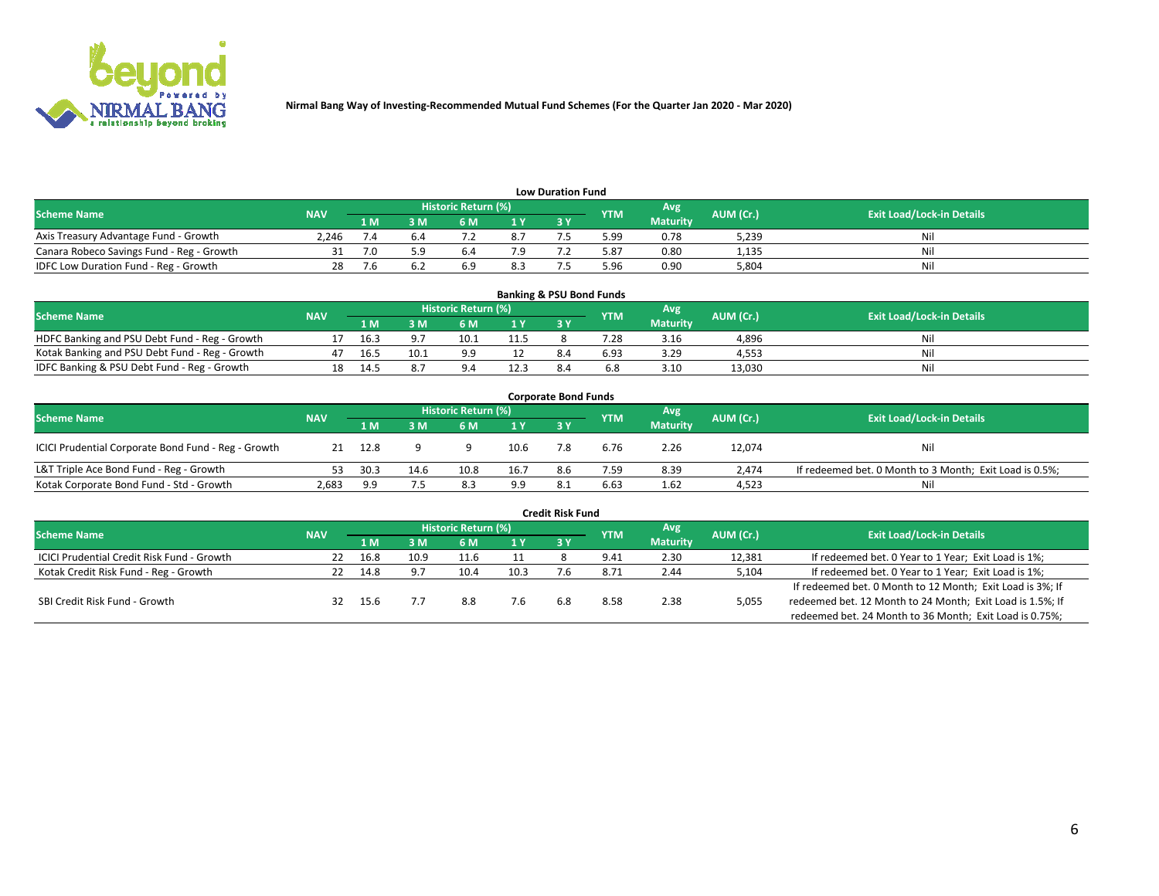

| <b>Low Duration Fund</b>                  |                                                        |     |     |                  |                                  |    |      |                 |       |     |  |  |  |  |
|-------------------------------------------|--------------------------------------------------------|-----|-----|------------------|----------------------------------|----|------|-----------------|-------|-----|--|--|--|--|
| <b>Scheme Name</b>                        | <b>Historic Return (%)</b><br><b>NAV</b><br><b>YTM</b> |     | Avg | <b>AUM (Cr.)</b> | <b>Exit Load/Lock-in Details</b> |    |      |                 |       |     |  |  |  |  |
|                                           |                                                        | 1 M | ያ M | 5 M              | 1 V                              | 2V |      | <b>Maturity</b> |       |     |  |  |  |  |
| Axis Treasury Advantage Fund - Growth     | 2.246                                                  |     |     |                  | 8.7                              |    | 5.99 | 0.78            | 5,239 | Nil |  |  |  |  |
| Canara Robeco Savings Fund - Reg - Growth |                                                        |     |     | b.4              |                                  |    | 5.87 | 0.80            | 1,135 | Nil |  |  |  |  |
| IDFC Low Duration Fund - Reg - Growth     |                                                        |     |     |                  | 8.3                              |    | 5.96 | 0.90            | 5,804 | Nil |  |  |  |  |

| <b>Banking &amp; PSU Bond Funds</b>            |            |      |      |                            |      |           |            |                 |           |                                  |  |  |  |  |
|------------------------------------------------|------------|------|------|----------------------------|------|-----------|------------|-----------------|-----------|----------------------------------|--|--|--|--|
| <b>Scheme Name</b>                             | <b>NAV</b> |      |      | <b>Historic Return (%)</b> |      |           | <b>YTM</b> | Avg             | AUM (Cr.) | <b>Exit Load/Lock-in Details</b> |  |  |  |  |
|                                                |            | 1 M  | sм   | 6 M                        | 71 Y | <b>3Y</b> |            | <b>Maturity</b> |           |                                  |  |  |  |  |
| HDFC Banking and PSU Debt Fund - Reg - Growth  |            | 16.3 |      | 10.1                       | 11.5 |           | 7.28       | 3.16            | 4,896     | Ni                               |  |  |  |  |
| Kotak Banking and PSU Debt Fund - Reg - Growth |            | 16.5 | 10.1 | $\alpha$                   |      | 8.4       | 6.93       | 3.29            | 4.553     | Ni                               |  |  |  |  |
| IDFC Banking & PSU Debt Fund - Reg - Growth    |            | 14.5 |      |                            | 12.3 |           |            | 3.10            | 13.030    | Ni                               |  |  |  |  |

| <b>Corporate Bond Funds</b>                         |            |      |      |                     |      |     |            |                 |           |                                                         |  |  |  |  |
|-----------------------------------------------------|------------|------|------|---------------------|------|-----|------------|-----------------|-----------|---------------------------------------------------------|--|--|--|--|
| <b>Scheme Name</b>                                  | <b>NAV</b> |      |      | Historic Return (%) |      |     | <b>YTM</b> | Avg             | AUM (Cr.) | <b>Exit Load/Lock-in Details</b>                        |  |  |  |  |
|                                                     |            | 1 M  | : M  | 6 M                 | 1Y   | 3V  |            | <b>Maturity</b> |           |                                                         |  |  |  |  |
| ICICI Prudential Corporate Bond Fund - Reg - Growth | 21         | 12.8 |      |                     | 10.6 |     | 6.76       | 2.26            | 12,074    | Nil                                                     |  |  |  |  |
| L&T Triple Ace Bond Fund - Reg - Growth             |            | 30.3 | 14.6 | 10.8                | 16.7 | 8.6 | 7.59       | 8.39            | 2.474     | If redeemed bet. 0 Month to 3 Month; Exit Load is 0.5%; |  |  |  |  |
| Kotak Corporate Bond Fund - Std - Growth            | 2,683      | 9.9  |      | 8.3                 | 9.9  |     | 6.63       | 1.62            | 4,523     | Nil                                                     |  |  |  |  |

| <b>Credit Risk Fund</b>                           |            |      |      |                            |      |     |            |                 |           |                                                           |  |  |  |
|---------------------------------------------------|------------|------|------|----------------------------|------|-----|------------|-----------------|-----------|-----------------------------------------------------------|--|--|--|
| <b>Scheme Name</b>                                | <b>NAV</b> |      |      | <b>Historic Return (%)</b> |      |     | <b>YTM</b> | 'Avg            | AUM (Cr.) | <b>Exit Load/Lock-in Details</b>                          |  |  |  |
|                                                   |            | 1 M  | 3 M  | 6 M                        | 1 Y  | 3Y  |            | <b>Maturity</b> |           |                                                           |  |  |  |
| <b>ICICI Prudential Credit Risk Fund - Growth</b> | 22         | 16.8 | 10.9 | 11.6                       | 11   |     | 9.41       | 2.30            | 12,381    | If redeemed bet. 0 Year to 1 Year; Exit Load is 1%;       |  |  |  |
| Kotak Credit Risk Fund - Reg - Growth             |            | 14.8 | a    | 10.4                       | 10.3 |     | 8.72       | 2.44            | 5,104     | If redeemed bet. 0 Year to 1 Year; Exit Load is 1%;       |  |  |  |
|                                                   |            |      |      |                            |      |     |            |                 |           | If redeemed bet. 0 Month to 12 Month; Exit Load is 3%; If |  |  |  |
| SBI Credit Risk Fund - Growth                     | 32         | 15.6 |      | 8.8                        | 7.6  | 6.8 | 8.58       | 2.38            | 5,055     | redeemed bet. 12 Month to 24 Month; Exit Load is 1.5%; If |  |  |  |
|                                                   |            |      |      |                            |      |     |            |                 |           | redeemed bet. 24 Month to 36 Month; Exit Load is 0.75%;   |  |  |  |